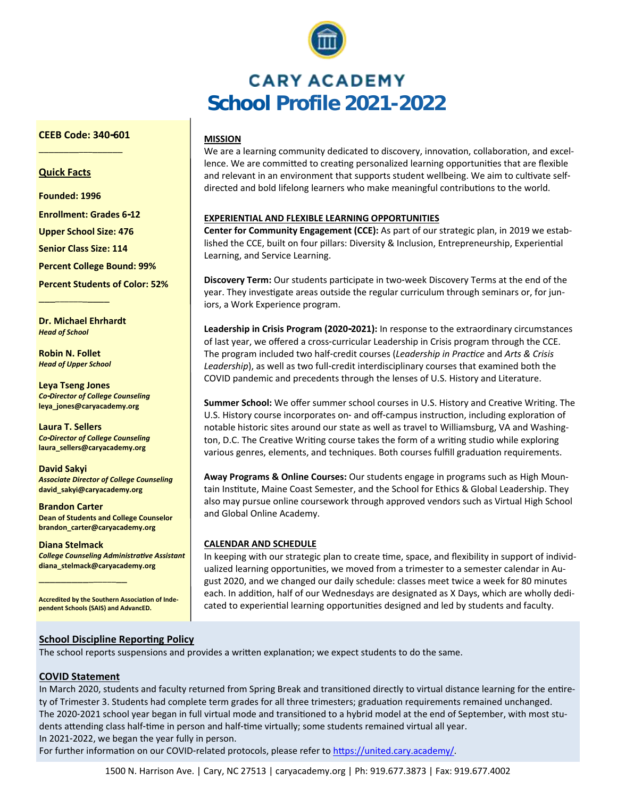

# **CARY ACADEMY School Profile 2021-2022**

# **MISSION**

We are a learning community dedicated to discovery, innovation, collaboration, and excellence. We are committed to creating personalized learning opportunities that are flexible and relevant in an environment that supports student wellbeing. We aim to cultivate selfdirected and bold lifelong learners who make meaningful contributions to the world.

# **EXPERIENTIAL AND FLEXIBLE LEARNING OPPORTUNITIES**

**Center for Community Engagement (CCE):** As part of our strategic plan, in 2019 we established the CCE, built on four pillars: Diversity & Inclusion, Entrepreneurship, Experiential Learning, and Service Learning.

**Discovery Term:** Our students participate in two-week Discovery Terms at the end of the year. They investigate areas outside the regular curriculum through seminars or, for juniors, a Work Experience program.

**Leadership in Crisis Program (2020-2021):** In response to the extraordinary circumstances of last year, we offered a cross-curricular Leadership in Crisis program through the CCE. The program included two half-credit courses (*Leadership in Practice* and *Arts & Crisis Leadership*), as well as two full-credit interdisciplinary courses that examined both the COVID pandemic and precedents through the lenses of U.S. History and Literature.

**Summer School:** We offer summer school courses in U.S. History and Creative Writing. The U.S. History course incorporates on- and off-campus instruction, including exploration of notable historic sites around our state as well as travel to Williamsburg, VA and Washington, D.C. The Creative Writing course takes the form of a writing studio while exploring various genres, elements, and techniques. Both courses fulfill graduation requirements.

**Away Programs & Online Courses:** Our students engage in programs such as High Mountain Institute, Maine Coast Semester, and the School for Ethics & Global Leadership. They also may pursue online coursework through approved vendors such as Virtual High School and Global Online Academy.

# **CALENDAR AND SCHEDULE**

In keeping with our strategic plan to create time, space, and flexibility in support of individualized learning opportunities, we moved from a trimester to a semester calendar in August 2020, and we changed our daily schedule: classes meet twice a week for 80 minutes each. In addition, half of our Wednesdays are designated as X Days, which are wholly dedicated to experiential learning opportunities designed and led by students and faculty.

# **School Discipline Reporting Policy**

The school reports suspensions and provides a written explanation; we expect students to do the same.

# **COVID Statement**

\_\_\_\_\_\_\_\_\_\_\_\_\_\_\_\_\_

In March 2020, students and faculty returned from Spring Break and transitioned directly to virtual distance learning for the entirety of Trimester 3. Students had complete term grades for all three trimesters; graduation requirements remained unchanged. The 2020-2021 school year began in full virtual mode and transitioned to a hybrid model at the end of September, with most students attending class half-time in person and half-time virtually; some students remained virtual all year.

In 2021-2022, we began the year fully in person.

For further information on our COVID-related protocols, please refer to [https://united.cary.academy/.](https://united.cary.academy/)

# **CEEB Code: 340-601** \_\_\_\_\_\_\_\_\_\_\_\_\_\_\_\_\_

# **Quick Facts**

**Founded: 1996**

**Enrollment: Grades 6-12**

**Upper School Size: 476**

**Senior Class Size: 114**

**Percent College Bound: 99%**

**Percent Students of Color: 52%**

**Dr. Michael Ehrhardt** *Head of School*

**Robin N. Follet** *Head of Upper School*

\_\_\_\_\_\_\_\_\_\_\_\_\_\_

**Leya Tseng Jones** *Co-Director of College Counseling* **leya\_jones@caryacademy.org**

**Laura T. Sellers** *Co-Director of College Counseling* **laura\_sellers@caryacademy.org**

**David Sakyi** *Associate Director of College Counseling* **david\_sakyi@caryacademy.org**

**Brandon Carter Dean of Students and College Counselor brandon\_carter@caryacademy.org** 

**Diana Stelmack** *College Counseling Administrative Assistant* **diana\_stelmack@caryacademy.org**

**Accredited by the Southern Association of Independent Schools (SAIS) and AdvancED.**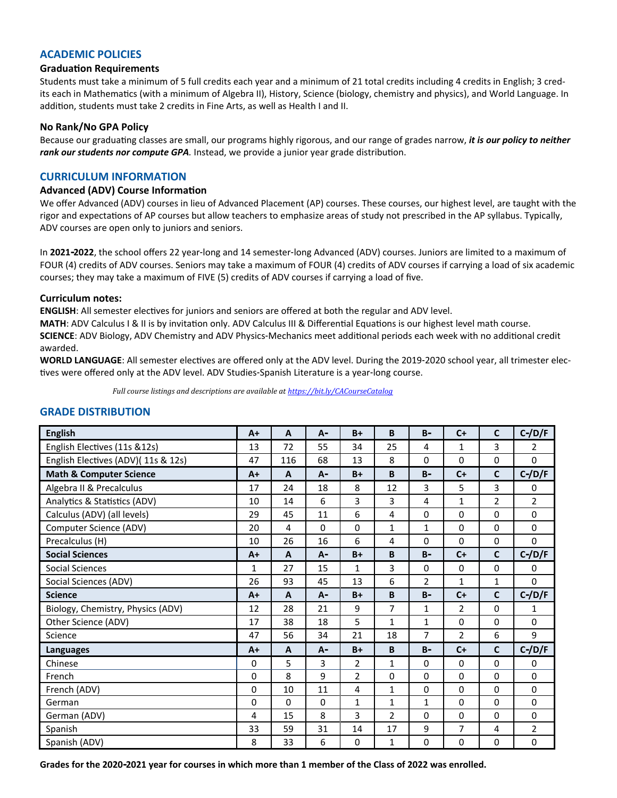# **ACADEMIC POLICIES**

#### **Graduation Requirements**

Students must take a minimum of 5 full credits each year and a minimum of 21 total credits including 4 credits in English; 3 credits each in Mathematics (with a minimum of Algebra II), History, Science (biology, chemistry and physics), and World Language. In addition, students must take 2 credits in Fine Arts, as well as Health I and II.

#### **No Rank/No GPA Policy**

Because our graduating classes are small, our programs highly rigorous, and our range of grades narrow, *it is our policy to neither rank our students nor compute GPA.* Instead, we provide a junior year grade distribution.

# **CURRICULUM INFORMATION**

#### **Advanced (ADV) Course Information**

We offer Advanced (ADV) courses in lieu of Advanced Placement (AP) courses. These courses, our highest level, are taught with the rigor and expectations of AP courses but allow teachers to emphasize areas of study not prescribed in the AP syllabus. Typically, ADV courses are open only to juniors and seniors.

In **2021-2022**, the school offers 22 year-long and 14 semester-long Advanced (ADV) courses. Juniors are limited to a maximum of FOUR (4) credits of ADV courses. Seniors may take a maximum of FOUR (4) credits of ADV courses if carrying a load of six academic courses; they may take a maximum of FIVE (5) credits of ADV courses if carrying a load of five.

#### **Curriculum notes:**

**ENGLISH**: All semester electives for juniors and seniors are offered at both the regular and ADV level.

**MATH**: ADV Calculus I & II is by invitation only. ADV Calculus III & Differential Equations is our highest level math course.

**SCIENCE**: ADV Biology, ADV Chemistry and ADV Physics-Mechanics meet additional periods each week with no additional credit awarded.

**WORLD LANGUAGE**: All semester electives are offered only at the ADV level. During the 2019-2020 school year, all trimester electives were offered only at the ADV level. ADV Studies-Spanish Literature is a year-long course.

*Full course listings and descriptions are available at <https://bit.ly/CACourseCatalog>*

#### **GRADE DISTRIBUTION**

| <b>English</b>                     | $A+$         | A        | $A -$       | $B+$           | B              | $B -$          | $C+$           | $\mathbf{C}$   | $C$ -/D/F      |
|------------------------------------|--------------|----------|-------------|----------------|----------------|----------------|----------------|----------------|----------------|
| English Electives (11s &12s)       | 13           | 72       | 55          | 34             | 25             | 4              | 1              | 3              | 2              |
| English Electives (ADV)(11s & 12s) | 47           | 116      | 68          | 13             | 8              | $\Omega$       | $\Omega$       | $\Omega$       | $\Omega$       |
| <b>Math &amp; Computer Science</b> | $A+$         | A        | $A -$       | $B+$           | B              | $B -$          | $C+$           | $\mathsf{C}$   | $C$ -/D/F      |
| Algebra II & Precalculus           | 17           | 24       | 18          | 8              | 12             | 3              | 5              | 3              | 0              |
| Analytics & Statistics (ADV)       | 10           | 14       | 6           | 3              | 3              | $\overline{4}$ | $\mathbf 1$    | $\overline{2}$ | $\overline{2}$ |
| Calculus (ADV) (all levels)        | 29           | 45       | 11          | 6              | $\overline{4}$ | $\Omega$       | 0              | $\Omega$       | $\Omega$       |
| Computer Science (ADV)             | 20           | 4        | $\Omega$    | $\Omega$       | $\mathbf{1}$   | $\mathbf{1}$   | 0              | 0              | 0              |
| Precalculus (H)                    | 10           | 26       | 16          | 6              | 4              | 0              | 0              | 0              | 0              |
| <b>Social Sciences</b>             | $A+$         | A        | $A -$       | $B+$           | B              | $B -$          | $C+$           | $\mathbf{C}$   | $C$ -/D/F      |
| <b>Social Sciences</b>             | 1            | 27       | 15          | 1              | 3              | 0              | 0              | 0              | 0              |
| Social Sciences (ADV)              | 26           | 93       | 45          | 13             | 6              | $\overline{2}$ | 1              | 1              | 0              |
| <b>Science</b>                     | $A+$         | A        | $A -$       | $B+$           | B              | $B -$          | $C+$           | $\mathbf{C}$   | $C$ -/D/F      |
| Biology, Chemistry, Physics (ADV)  | 12           | 28       | 21          | 9              | $\overline{7}$ | 1              | $\overline{2}$ | $\Omega$       | 1              |
| Other Science (ADV)                | 17           | 38       | 18          | 5              | $\mathbf{1}$   | $\mathbf{1}$   | $\Omega$       | $\Omega$       | $\Omega$       |
| Science                            | 47           | 56       | 34          | 21             | 18             | $\overline{7}$ | $\overline{2}$ | 6              | 9              |
| <b>Languages</b>                   | $A+$         | A        | $A -$       | $B+$           | B              | $B -$          | $C+$           | $\mathbf c$    | $C$ -/D/F      |
| Chinese                            | $\mathbf{0}$ | 5        | 3           | $\overline{2}$ | $\mathbf{1}$   | $\Omega$       | $\Omega$       | $\Omega$       | $\Omega$       |
| French                             | $\mathbf 0$  | 8        | 9           | $\overline{2}$ | $\mathbf 0$    | 0              | 0              | 0              | 0              |
| French (ADV)                       | $\mathbf{0}$ | 10       | 11          | 4              | $\mathbf{1}$   | 0              | $\Omega$       | 0              | $\mathbf 0$    |
| German                             | $\mathbf 0$  | $\Omega$ | $\mathbf 0$ | $\mathbf{1}$   | $\mathbf{1}$   | $\mathbf{1}$   | $\Omega$       | 0              | $\mathbf 0$    |
| German (ADV)                       | 4            | 15       | 8           | 3              | $\overline{2}$ | 0              | 0              | 0              | 0              |
| Spanish                            | 33           | 59       | 31          | 14             | 17             | 9              | $\overline{7}$ | $\overline{4}$ | $\overline{2}$ |
| Spanish (ADV)                      | 8            | 33       | 6           | 0              | 1              | 0              | 0              | 0              | 0              |

**Grades for the 2020-2021 year for courses in which more than 1 member of the Class of 2022 was enrolled.**